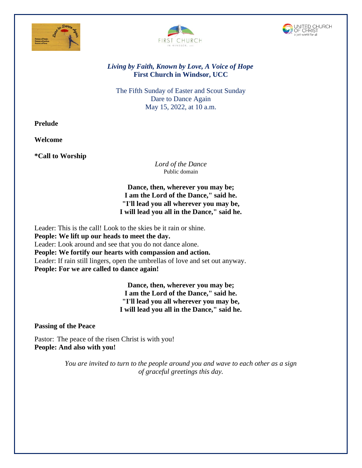





# *Living by Faith, Known by Love, A Voice of Hope* **First Church in Windsor, UCC**

The Fifth Sunday of Easter and Scout Sunday Dare to Dance Again May 15, 2022, at 10 a.m.

**Prelude**

**Welcome**

**\*Call to Worship** 

*Lord of the Dance* Public domain

**Dance, then, wherever you may be; I am the Lord of the Dance," said he. "I'll lead you all wherever you may be, I will lead you all in the Dance," said he.**

Leader: This is the call! Look to the skies be it rain or shine. **People: We lift up our heads to meet the day.** Leader: Look around and see that you do not dance alone. **People: We fortify our hearts with compassion and action.** Leader: If rain still lingers, open the umbrellas of love and set out anyway. **People: For we are called to dance again!**

> **Dance, then, wherever you may be; I am the Lord of the Dance," said he. "I'll lead you all wherever you may be, I will lead you all in the Dance," said he.**

**Passing of the Peace**

Pastor: The peace of the risen Christ is with you! **People: And also with you!**

> *You are invited to turn to the people around you and wave to each other as a sign of graceful greetings this day.*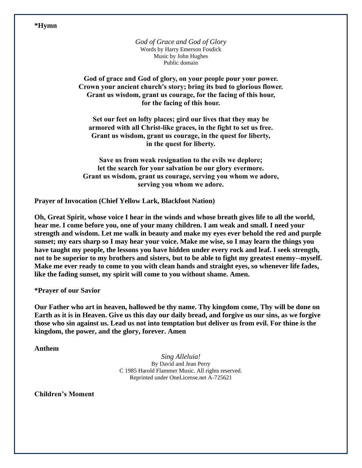#### **\*Hymn**

*God of Grace and God of Glory* Words by Harry Emerson Fosdick Music by John Hughes Public domain

**God of grace and God of glory, on your people pour your power. Crown your ancient church's story; bring its bud to glorious flower. Grant us wisdom, grant us courage, for the facing of this hour, for the facing of this hour.**

**Set our feet on lofty places; gird our lives that they may be armored with all Christ-like graces, in the fight to set us free. Grant us wisdom, grant us courage, in the quest for liberty, in the quest for liberty.**

**Save us from weak resignation to the evils we deplore; let the search for your salvation be our glory evermore. Grant us wisdom, grant us courage, serving you whom we adore, serving you whom we adore.**

**Prayer of Invocation (Chief Yellow Lark, Blackfoot Nation)**

**Oh, Great Spirit, whose voice I hear in the winds and whose breath gives life to all the world, hear me. I come before you, one of your many children. I am weak and small. I need your strength and wisdom. Let me walk in beauty and make my eyes ever behold the red and purple sunset; my ears sharp so I may hear your voice. Make me wise, so I may learn the things you have taught my people, the lessons you have hidden under every rock and leaf. I seek strength, not to be superior to my brothers and sisters, but to be able to fight my greatest enemy--myself. Make me ever ready to come to you with clean hands and straight eyes, so whenever life fades, like the fading sunset, my spirit will come to you without shame. Amen.**

**\*Prayer of our Savior**

**Our Father who art in heaven, hallowed be thy name. Thy kingdom come, Thy will be done on Earth as it is in Heaven. Give us this day our daily bread, and forgive us our sins, as we forgive those who sin against us. Lead us not into temptation but deliver us from evil. For thine is the kingdom, the power, and the glory, forever. Amen**

**Anthem**

*Sing Alleluia!* By David and Jean Perry C 1985 Harold Flammer Music. All rights reserved. Reprinted under OneLicense.net A-725621

**Children's Moment**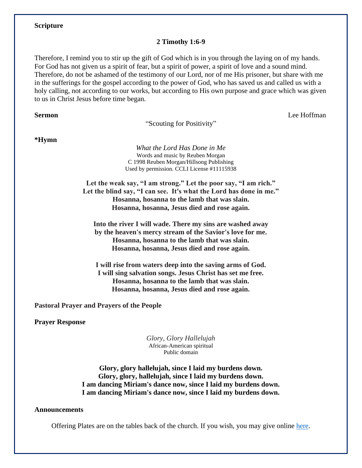## **Scripture**

## **2 Timothy 1:6-9**

Therefore, I remind you to stir up the gift of God which is in you through the laying on of my hands. For God has not given us a spirit of fear, but a spirit of power, a spirit of love and a sound mind. Therefore, do not be ashamed of the testimony of our Lord, nor of me His prisoner, but share with me in the sufferings for the gospel according to the power of God, who has saved us and called us with a holy calling, not according to our works, but according to His own purpose and grace which was given to us in Christ Jesus before time began.

"Scouting for Positivity"

**Sermon** Lee Hoffman

**\*Hymn** 

*What the Lord Has Done in Me* Words and music by Reuben Morgan C 1998 Reuben Morgan/Hillsong Publishing Used by permission. CCLI License #11115938

**Let the weak say, "I am strong." Let the poor say, "I am rich." Let the blind say, "I can see. It's what the Lord has done in me." Hosanna, hosanna to the lamb that was slain. Hosanna, hosanna, Jesus died and rose again.**

**Into the river I will wade. There my sins are washed away by the heaven's mercy stream of the Savior's love for me. Hosanna, hosanna to the lamb that was slain. Hosanna, hosanna, Jesus died and rose again.**

**I will rise from waters deep into the saving arms of God. I will sing salvation songs. Jesus Christ has set me free. Hosanna, hosanna to the lamb that was slain. Hosanna, hosanna, Jesus died and rose again.**

**Pastoral Prayer and Prayers of the People** 

**Prayer Response** 

*Glory, Glory Hallelujah* African-American spiritual Public domain

**Glory, glory hallelujah, since I laid my burdens down. Glory, glory, hallelujah, since I laid my burdens down. I am dancing Miriam's dance now, since I laid my burdens down. I am dancing Miriam's dance now, since I laid my burdens down.**

### **Announcements**

Offering Plates are on the tables back of the church. If you wish, you may give online [here.](https://www.eservicepayments.com/cgi-bin/Vanco_ver3.vps?appver3=tYgT1GfNxRUldiimjHMvOd2KF4BvMKR-ja0anVeTG_VskSODEa-Up5lt373GHnco2evTpo0mld6BrVzd2nG0px7lViKGoqF0eMUCzPrgDSw=&ver=3)